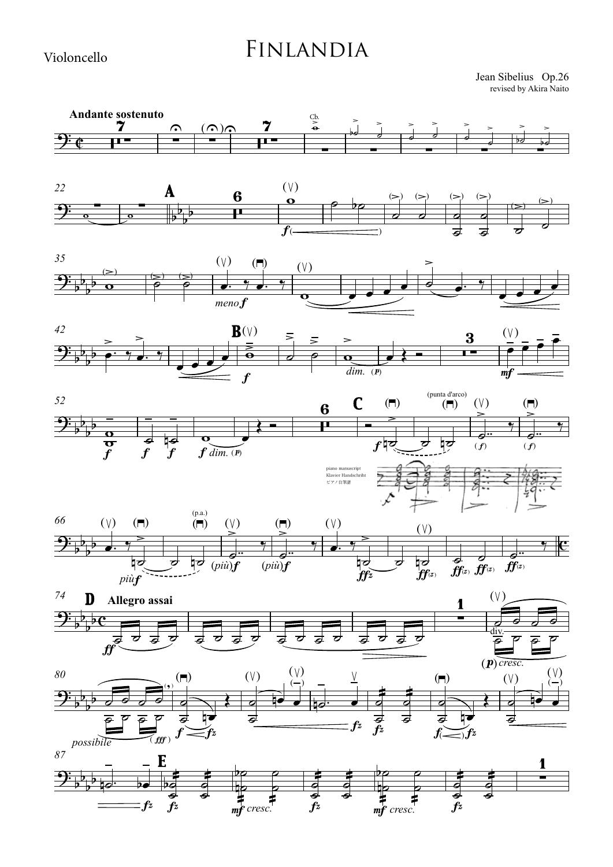Violoncello

## Finlandia

revised by Akira Naito Jean Sibelius Op.26

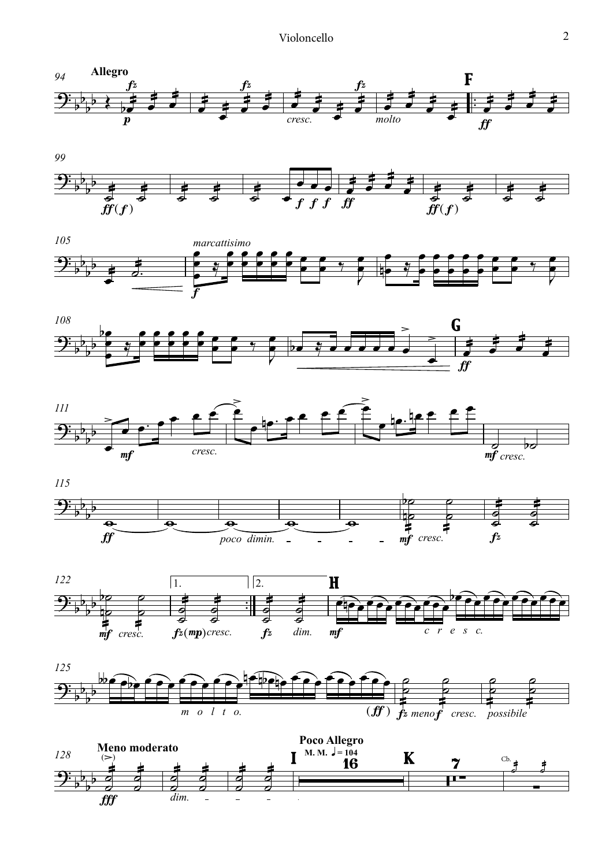















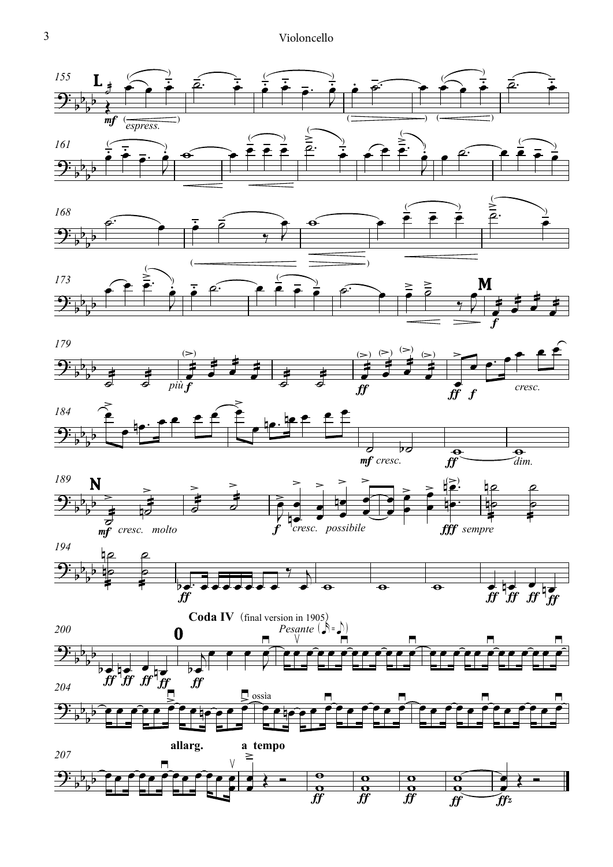## Violoncello